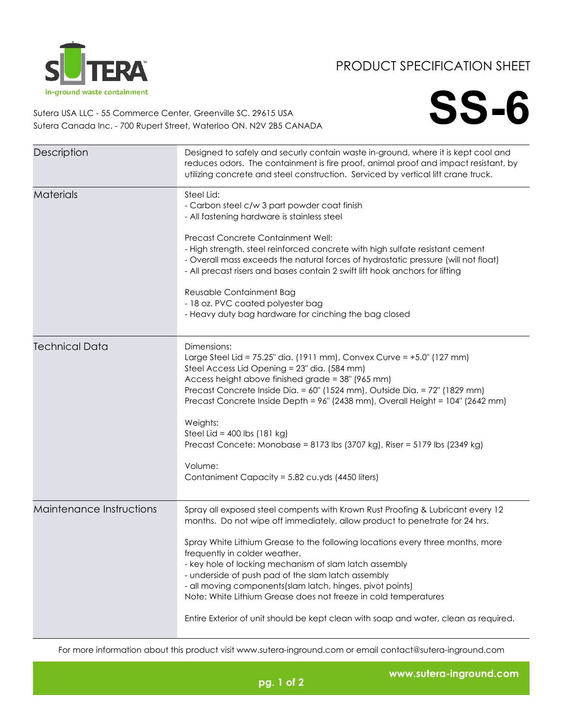

## PRODUCT SPECIFICATION SHEET

**SS-6**

Sutera USA LLC - 55 Commerce Center, Greenville SC. 29615 USA Sutera Canada Inc. - 700 Rupert Street, Waterloo ON. N2V 2B5 CANADA

| Description              | Designed to safely and securly contain waste in-ground, where it is kept cool and<br>reduces odors. The containment is fire proof, animal proof and impact resistant, by<br>utilizing concrete and steel construction. Serviced by vertical lift crane truck.                                                                                                                                                                                                                                                                                                                                                            |
|--------------------------|--------------------------------------------------------------------------------------------------------------------------------------------------------------------------------------------------------------------------------------------------------------------------------------------------------------------------------------------------------------------------------------------------------------------------------------------------------------------------------------------------------------------------------------------------------------------------------------------------------------------------|
| <b>Materials</b>         | Steel Lid:<br>- Carbon steel c/w 3 part powder coat finish<br>- All fastening hardware is stainless steel<br>Precast Concrete Containment Well:<br>- High strength, steel reinforced concrete with high sulfate resistant cement<br>- Overall mass exceeds the natural forces of hydrostatic pressure (will not float)<br>- All precast risers and bases contain 2 swift lift hook anchors for lifting<br>Reusable Containment Bag<br>- 18 oz. PVC coated polyester bag<br>- Heavy duty bag hardware for cinching the bag closed                                                                                         |
| <b>Technical Data</b>    | Dimensions:<br>Large Steel Lid = 75.25" dia. (1911 mm), Convex Curve = +5.0" (127 mm)<br>Steel Access Lid Opening = 23" dia. (584 mm)<br>Access height above finished grade = 38" (965 mm)<br>Precast Concrete Inside Dia. = 60" (1524 mm), Outside Dia. = 72" (1829 mm)<br>Precast Concrete Inside Depth = 96" (2438 mm), Overall Height = 104" (2642 mm)<br>Weights:<br>Steel Lid = $400$ lbs (181 kg)<br>Precast Concete: Monobase = 8173 lbs (3707 kg), Riser = 5179 lbs (2349 kg)<br>Volume:<br>Contaniment Capacity = 5.82 cu.yds (4450 liters)                                                                    |
| Maintenance Instructions | Spray all exposed steel compents with Krown Rust Proofing & Lubricant every 12<br>months. Do not wipe off immediately, allow product to penetrate for 24 hrs.<br>Spray White Lithium Grease to the following locations every three months, more<br>frequently in colder weather.<br>- key hole of locking mechanism of slam latch assembly<br>- underside of push pad of the slam latch assembly<br>- all moving components(slam latch, hinges, pivot points)<br>Note: White Lithium Grease does not freeze in cold temperatures<br>Entire Exterior of unit should be kept clean with soap and water, clean as required. |

For more information about this product visit www.sutera-inground.com or email contact@sutera-inground.com